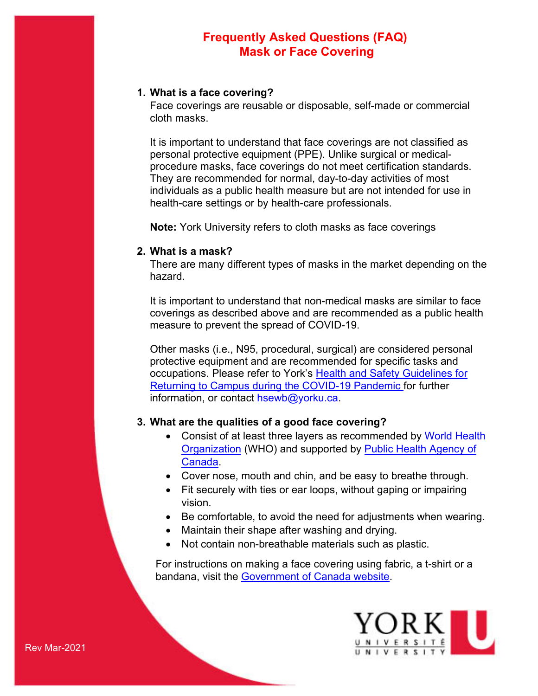### **1. What is a face covering?**

Face coverings are reusable or disposable, self-made or commercial cloth masks.

It is important to understand that face coverings are not classified as personal protective equipment (PPE). Unlike surgical or medicalprocedure masks, face coverings do not meet certification standards. They are recommended for normal, day-to-day activities of most individuals as a public health measure but are not intended for use in health-care settings or by health-care professionals.

**Note:** York University refers to cloth masks as face coverings

### **2. What is a mask?**

There are many different types of masks in the market depending on the hazard.

It is important to understand that non-medical masks are similar to face coverings as described above and are recommended as a public health measure to prevent the spread of COVID-19.

Other masks (i.e., N95, procedural, surgical) are considered personal protective equipment and are recommended for specific tasks and occupations. Please refer to York's [Health and Safety Guidelines for](https://yulink-new.yorku.ca/documents/20182/12787045/COVID-19+HS+Guidance/76ac0ca7-10ce-4749-a692-23e61ba631fc)  [Returning to Campus during the COVID-19 Pandemic f](https://yulink-new.yorku.ca/documents/20182/12787045/COVID-19+HS+Guidance/76ac0ca7-10ce-4749-a692-23e61ba631fc)or further information, or contact [hsewb@yorku.ca.](mailto:hsewb@yorku.ca)

### **3. What are the qualities of a good face covering?**

- Consist of at least three layers as recommended by World Health **[Organization](https://www.who.int/publications/i/item/advice-on-the-use-of-masks-in-the-community-during-home-care-and-in-healthcare-settings-in-the-context-of-the-novel-coronavirus-(2019-ncov)-outbreak) (WHO) and supported by Public Health Agency of** [Canada.](https://www.canada.ca/en/public-health/services/diseases/2019-novel-coronavirus-infection/prevention-risks/about-non-medical-masks-face-coverings.html)
- Cover nose, mouth and chin, and be easy to breathe through.
- Fit securely with ties or ear loops, without gaping or impairing vision.
- Be comfortable, to avoid the need for adjustments when wearing.
- Maintain their shape after washing and drying.
- Not contain non-breathable materials such as plastic.

For instructions on making a face covering using fabric, a t-shirt or a bandana, visit the [Government of Canada website.](https://www.canada.ca/en/public-health/services/diseases/2019-novel-coronavirus-infection/prevention-risks/sew-no-sew-instructions-non-medical-masks-face-coverings.html)

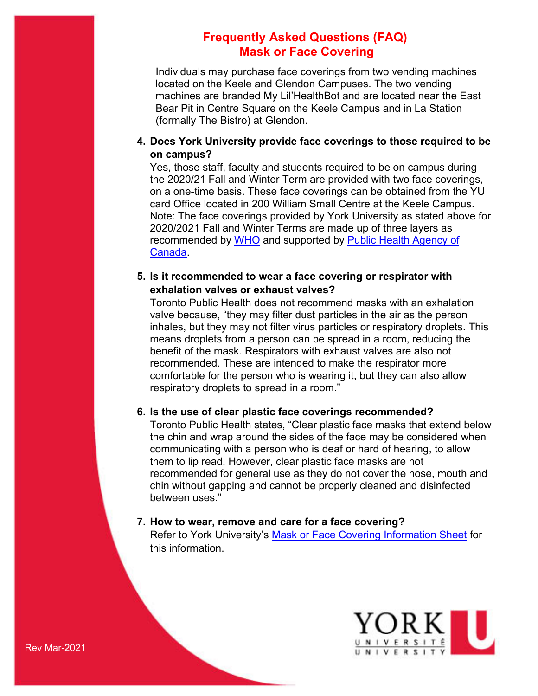Individuals may purchase face coverings from two vending machines located on the Keele and Glendon Campuses. The two vending machines are branded My Lil'HealthBot and are located near the East Bear Pit in Centre Square on the Keele Campus and in La Station (formally The Bistro) at Glendon.

## **4. Does York University provide face coverings to those required to be on campus?**

Yes, those staff, faculty and students required to be on campus during the 2020/21 Fall and Winter Term are provided with two face coverings, on a one-time basis. These face coverings can be obtained from the YU card Office located in 200 William Small Centre at the Keele Campus. Note: The face coverings provided by York University as stated above for 2020/2021 Fall and Winter Terms are made up of three layers as recommended by [WHO](https://www.who.int/publications/i/item/advice-on-the-use-of-masks-in-the-community-during-home-care-and-in-healthcare-settings-in-the-context-of-the-novel-coronavirus-(2019-ncov)-outbreak) and supported by [Public Health Agency of](https://www.canada.ca/en/public-health/services/diseases/2019-novel-coronavirus-infection/prevention-risks/about-non-medical-masks-face-coverings.html)  [Canada.](https://www.canada.ca/en/public-health/services/diseases/2019-novel-coronavirus-infection/prevention-risks/about-non-medical-masks-face-coverings.html)

## **5. Is it recommended to wear a face covering or respirator with exhalation valves or exhaust valves?**

Toronto Public Health does not recommend masks with an exhalation valve because, "they may filter dust particles in the air as the person inhales, but they may not filter virus particles or respiratory droplets. This means droplets from a person can be spread in a room, reducing the benefit of the mask. Respirators with exhaust valves are also not recommended. These are intended to make the respirator more comfortable for the person who is wearing it, but they can also allow respiratory droplets to spread in a room."

## **6. Is the use of clear plastic face coverings recommended?**

Toronto Public Health states, "Clear plastic face masks that extend below the chin and wrap around the sides of the face may be considered when communicating with a person who is deaf or hard of hearing, to allow them to lip read. However, clear plastic face masks are not recommended for general use as they do not cover the nose, mouth and chin without gapping and cannot be properly cleaned and disinfected between uses."

## **7. How to wear, remove and care for a face covering?**

Refer to York University's [Mask or Face Covering Information Sheet](https://yubettertogether.info.yorku.ca/files/2020/10/Mask-or-Face-Covering-Information-Sheet.pdf) for this information.

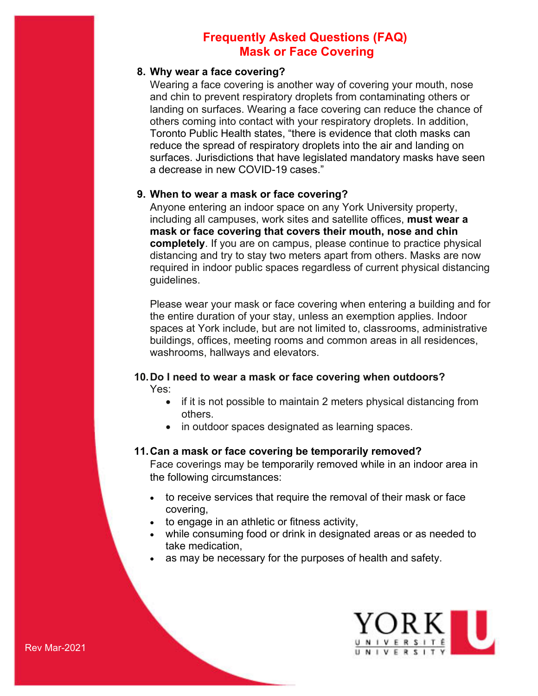### **8. Why wear a face covering?**

Wearing a face covering is another way of covering your mouth, nose and chin to prevent respiratory droplets from contaminating others or landing on surfaces. Wearing a face covering can reduce the chance of others coming into contact with your respiratory droplets. In addition, Toronto Public Health states, "there is evidence that cloth masks can reduce the spread of respiratory droplets into the air and landing on surfaces. Jurisdictions that have legislated mandatory masks have seen a decrease in new COVID-19 cases."

### **9. When to wear a mask or face covering?**

Anyone entering an indoor space on any York University property, including all campuses, work sites and satellite offices, **must wear a mask or face covering that covers their mouth, nose and chin completely**. If you are on campus, please continue to practice physical distancing and try to stay two meters apart from others. Masks are now required in indoor public spaces regardless of current physical distancing guidelines.

Please wear your mask or face covering when entering a building and for the entire duration of your stay, unless an exemption applies. Indoor spaces at York include, but are not limited to, classrooms, administrative buildings, offices, meeting rooms and common areas in all residences, washrooms, hallways and elevators.

# **10.Do I need to wear a mask or face covering when outdoors?**

Yes:

- if it is not possible to maintain 2 meters physical distancing from others.
- in outdoor spaces designated as learning spaces.

#### **11.Can a mask or face covering be temporarily removed?**

Face coverings may be temporarily removed while in an indoor area in the following circumstances:

- to receive services that require the removal of their mask or face covering,
- to engage in an athletic or fitness activity,
- while consuming food or drink in designated areas or as needed to take medication,
- as may be necessary for the purposes of health and safety.

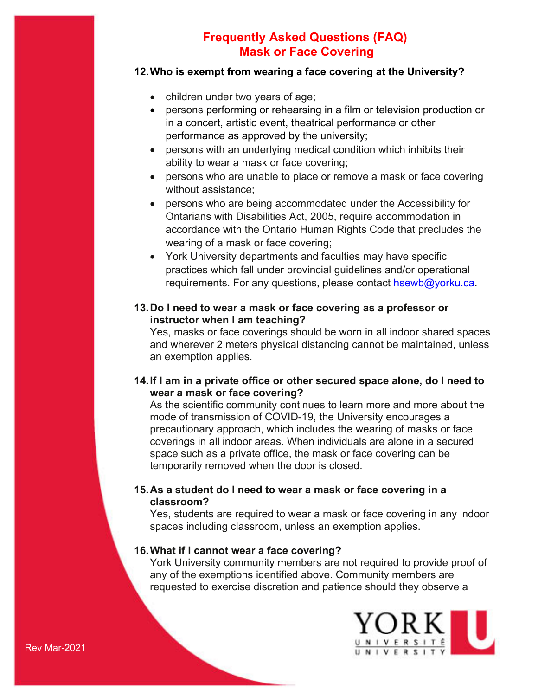## **12.Who is exempt from wearing a face covering at the University?**

- children under two years of age;
- persons performing or rehearsing in a film or television production or in a concert, artistic event, theatrical performance or other performance as approved by the university;
- persons with an underlying medical condition which inhibits their ability to wear a mask or face covering;
- persons who are unable to place or remove a mask or face covering without assistance;
- persons who are being accommodated under the Accessibility for Ontarians with Disabilities Act, 2005, require accommodation in accordance with the Ontario Human Rights Code that precludes the wearing of a mask or face covering;
- York University departments and faculties may have specific practices which fall under provincial guidelines and/or operational requirements. For any questions, please contact [hsewb@yorku.ca.](mailto:hsewb@yorku.ca)
- **13.Do I need to wear a mask or face covering as a professor or instructor when I am teaching?**

Yes, masks or face coverings should be worn in all indoor shared spaces and wherever 2 meters physical distancing cannot be maintained, unless an exemption applies.

## **14.If I am in a private office or other secured space alone, do I need to wear a mask or face covering?**

As the scientific community continues to learn more and more about the mode of transmission of COVID-19, the University encourages a precautionary approach, which includes the wearing of masks or face coverings in all indoor areas. When individuals are alone in a secured space such as a private office, the mask or face covering can be temporarily removed when the door is closed.

## **15.As a student do I need to wear a mask or face covering in a classroom?**

Yes, students are required to wear a mask or face covering in any indoor spaces including classroom, unless an exemption applies.

## **16.What if I cannot wear a face covering?**

York University community members are not required to provide proof of any of the exemptions identified above. Community members are requested to exercise discretion and patience should they observe a

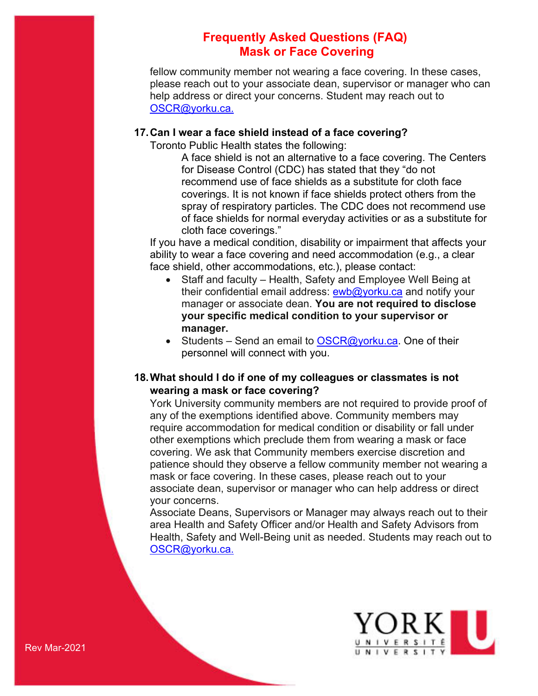fellow community member not wearing a face covering. In these cases, please reach out to your associate dean, supervisor or manager who can help address or direct your concerns. Student may reach out to [OSCR@yorku.ca.](mailto:OSCR@yorku.ca)

### **17.Can I wear a face shield instead of a face covering?**

Toronto Public Health states the following:

A face shield is not an alternative to a face covering. The Centers for Disease Control (CDC) has stated that they "do not recommend use of face shields as a substitute for cloth face coverings. It is not known if face shields protect others from the spray of respiratory particles. The CDC does not recommend use of face shields for normal everyday activities or as a substitute for cloth face coverings."

If you have a medical condition, disability or impairment that affects your ability to wear a face covering and need accommodation (e.g., a clear face shield, other accommodations, etc.), please contact:

- Staff and faculty Health, Safety and Employee Well Being at their confidential email address: [ewb@yorku.ca](mailto:ewb@yorku.ca) and notify your manager or associate dean. **You are not required to disclose your specific medical condition to your supervisor or manager.**
- Students Send an email to  $OSCR@yorku.ca.$  One of their personnel will connect with you.

## **18.What should I do if one of my colleagues or classmates is not wearing a mask or face covering?**

York University community members are not required to provide proof of any of the exemptions identified above. Community members may require accommodation for medical condition or disability or fall under other exemptions which preclude them from wearing a mask or face covering. We ask that Community members exercise discretion and patience should they observe a fellow community member not wearing a mask or face covering. In these cases, please reach out to your associate dean, supervisor or manager who can help address or direct your concerns.

Associate Deans, Supervisors or Manager may always reach out to their area Health and Safety Officer and/or Health and Safety Advisors from Health, Safety and Well-Being unit as needed. Students may reach out to [OSCR@yorku.ca.](mailto:OSCR@yorku.ca)